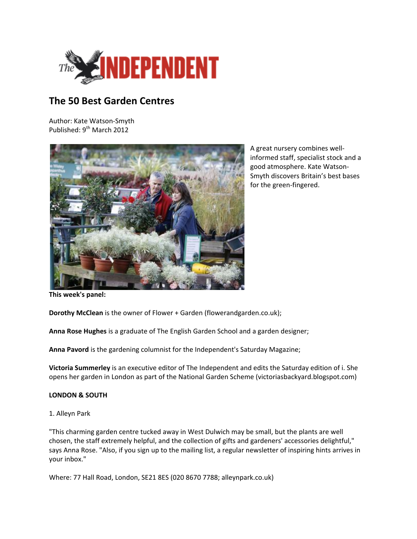

# **The 50 Best Garden Centres**

Author: Kate Watson-Smyth Published: 9<sup>th</sup> March 2012



A great nursery combines wellinformed staff, specialist stock and a good atmosphere. Kate Watson-Smyth discovers Britain's best bases for the green-fingered.

**This week's panel:**

**Dorothy McClean** is the owner of Flower + Garden (flowerandgarden.co.uk);

**Anna Rose Hughes** is a graduate of The English Garden School and a garden designer;

**Anna Pavord** is the gardening columnist for the Independent's Saturday Magazine;

**Victoria Summerley** is an executive editor of The Independent and edits the Saturday edition of i. She opens her garden in London as part of the National Garden Scheme (victoriasbackyard.blogspot.com)

## **LONDON & SOUTH**

## 1. Alleyn Park

"This charming garden centre tucked away in West Dulwich may be small, but the plants are well chosen, the staff extremely helpful, and the collection of gifts and gardeners' accessories delightful," says Anna Rose. "Also, if you sign up to the mailing list, a regular newsletter of inspiring hints arrives in your inbox."

Where: 77 Hall Road, London, SE21 8ES (020 8670 7788; alleynpark.co.uk)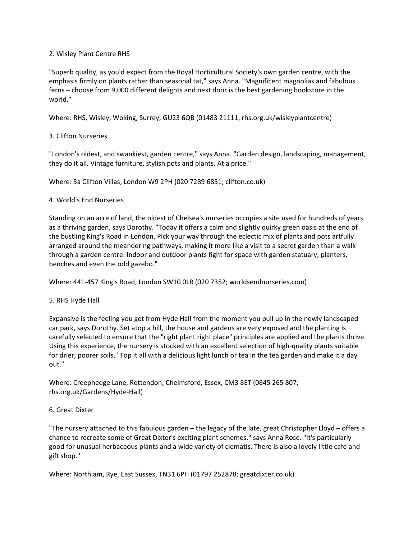#### 2. Wisley Plant Centre RHS

"Superb quality, as you'd expect from the Royal Horticultural Society's own garden centre, with the emphasis firmly on plants rather than seasonal tat," says Anna. "Magnificent magnolias and fabulous ferns – choose from 9,000 different delights and next door is the best gardening bookstore in the world."

Where: RHS, Wisley, Woking, Surrey, GU23 6QB (01483 21111; rhs.org.uk/wisleyplantcentre)

## 3. Clifton Nurseries

"London's oldest, and swankiest, garden centre," says Anna. "Garden design, landscaping, management, they do it all. Vintage furniture, stylish pots and plants. At a price."

Where: 5a Clifton Villas, London W9 2PH (020 7289 6851; clifton.co.uk)

#### 4. World's End Nurseries

Standing on an acre of land, the oldest of Chelsea's nurseries occupies a site used for hundreds of years as a thriving garden, says Dorothy. "Today it offers a calm and slightly quirky green oasis at the end of the bustling King's Road in London. Pick your way through the eclectic mix of plants and pots artfully arranged around the meandering pathways, making it more like a visit to a secret garden than a walk through a garden centre. Indoor and outdoor plants fight for space with garden statuary, planters, benches and even the odd gazebo."

Where: 441-457 King's Road, London SW10 0LR (020 7352; worldsendnurseries.com)

#### 5. RHS Hyde Hall

Expansive is the feeling you get from Hyde Hall from the moment you pull up in the newly landscaped car park, says Dorothy. Set atop a hill, the house and gardens are very exposed and the planting is carefully selected to ensure that the "right plant right place" principles are applied and the plants thrive. Using this experience, the nursery is stocked with an excellent selection of high-quality plants suitable for drier, poorer soils. "Top it all with a delicious light lunch or tea in the tea garden and make it a day out."

Where: Creephedge Lane, Rettendon, Chelmsford, Essex, CM3 8ET (0845 265 807; rhs.org.uk/Gardens/Hyde-Hall)

## 6. Great Dixter

"The nursery attached to this fabulous garden – the legacy of the late, great Christopher Lloyd – offers a chance to recreate some of Great Dixter's exciting plant schemes," says Anna Rose. "It's particularly good for unusual herbaceous plants and a wide variety of clematis. There is also a lovely little cafe and gift shop."

Where: Northiam, Rye, East Sussex, TN31 6PH (01797 252878; greatdixter.co.uk)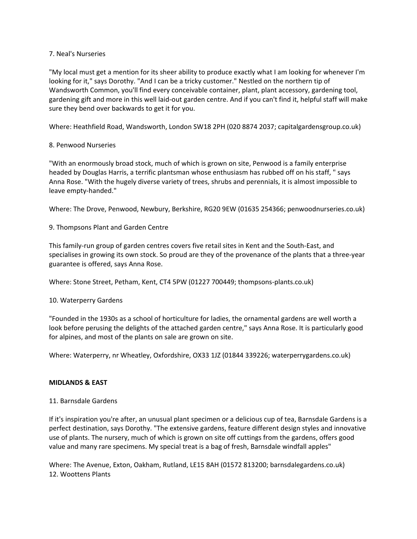#### 7. Neal's Nurseries

"My local must get a mention for its sheer ability to produce exactly what I am looking for whenever I'm looking for it," says Dorothy. "And I can be a tricky customer." Nestled on the northern tip of Wandsworth Common, you'll find every conceivable container, plant, plant accessory, gardening tool, gardening gift and more in this well laid-out garden centre. And if you can't find it, helpful staff will make sure they bend over backwards to get it for you.

Where: Heathfield Road, Wandsworth, London SW18 2PH (020 8874 2037; capitalgardensgroup.co.uk)

## 8. Penwood Nurseries

"With an enormously broad stock, much of which is grown on site, Penwood is a family enterprise headed by Douglas Harris, a terrific plantsman whose enthusiasm has rubbed off on his staff, " says Anna Rose. "With the hugely diverse variety of trees, shrubs and perennials, it is almost impossible to leave empty-handed."

Where: The Drove, Penwood, Newbury, Berkshire, RG20 9EW (01635 254366; penwoodnurseries.co.uk)

9. Thompsons Plant and Garden Centre

This family-run group of garden centres covers five retail sites in Kent and the South-East, and specialises in growing its own stock. So proud are they of the provenance of the plants that a three-year guarantee is offered, says Anna Rose.

Where: Stone Street, Petham, Kent, CT4 5PW (01227 700449; thompsons-plants.co.uk)

## 10. Waterperry Gardens

"Founded in the 1930s as a school of horticulture for ladies, the ornamental gardens are well worth a look before perusing the delights of the attached garden centre," says Anna Rose. It is particularly good for alpines, and most of the plants on sale are grown on site.

Where: Waterperry, nr Wheatley, Oxfordshire, OX33 1JZ (01844 339226; waterperrygardens.co.uk)

## **MIDLANDS & EAST**

## 11. Barnsdale Gardens

If it's inspiration you're after, an unusual plant specimen or a delicious cup of tea, Barnsdale Gardens is a perfect destination, says Dorothy. "The extensive gardens, feature different design styles and innovative use of plants. The nursery, much of which is grown on site off cuttings from the gardens, offers good value and many rare specimens. My special treat is a bag of fresh, Barnsdale windfall apples"

Where: The Avenue, Exton, Oakham, Rutland, LE15 8AH (01572 813200; barnsdalegardens.co.uk) 12. Woottens Plants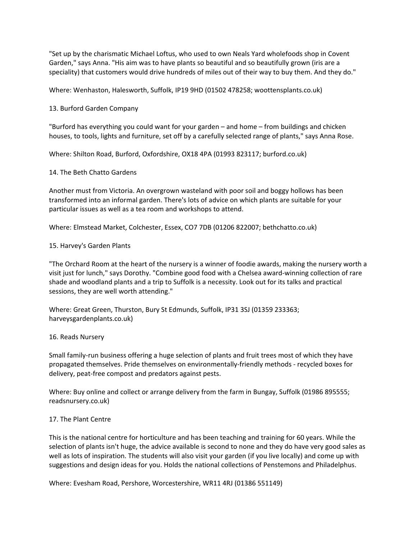"Set up by the charismatic Michael Loftus, who used to own Neals Yard wholefoods shop in Covent Garden," says Anna. "His aim was to have plants so beautiful and so beautifully grown (iris are a speciality) that customers would drive hundreds of miles out of their way to buy them. And they do."

Where: Wenhaston, Halesworth, Suffolk, IP19 9HD (01502 478258; woottensplants.co.uk)

13. Burford Garden Company

"Burford has everything you could want for your garden – and home – from buildings and chicken houses, to tools, lights and furniture, set off by a carefully selected range of plants," says Anna Rose.

Where: Shilton Road, Burford, Oxfordshire, OX18 4PA (01993 823117; burford.co.uk)

14. The Beth Chatto Gardens

Another must from Victoria. An overgrown wasteland with poor soil and boggy hollows has been transformed into an informal garden. There's lots of advice on which plants are suitable for your particular issues as well as a tea room and workshops to attend.

Where: Elmstead Market, Colchester, Essex, CO7 7DB (01206 822007; bethchatto.co.uk)

15. Harvey's Garden Plants

"The Orchard Room at the heart of the nursery is a winner of foodie awards, making the nursery worth a visit just for lunch," says Dorothy. "Combine good food with a Chelsea award-winning collection of rare shade and woodland plants and a trip to Suffolk is a necessity. Look out for its talks and practical sessions, they are well worth attending."

Where: Great Green, Thurston, Bury St Edmunds, Suffolk, IP31 3SJ (01359 233363; harveysgardenplants.co.uk)

#### 16. Reads Nursery

Small family-run business offering a huge selection of plants and fruit trees most of which they have propagated themselves. Pride themselves on environmentally-friendly methods - recycled boxes for delivery, peat-free compost and predators against pests.

Where: Buy online and collect or arrange delivery from the farm in Bungay, Suffolk (01986 895555; readsnursery.co.uk)

#### 17. The Plant Centre

This is the national centre for horticulture and has been teaching and training for 60 years. While the selection of plants isn't huge, the advice available is second to none and they do have very good sales as well as lots of inspiration. The students will also visit your garden (if you live locally) and come up with suggestions and design ideas for you. Holds the national collections of Penstemons and Philadelphus.

Where: Evesham Road, Pershore, Worcestershire, WR11 4RJ (01386 551149)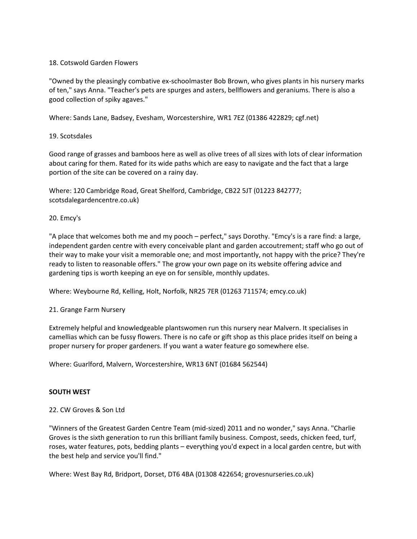#### 18. Cotswold Garden Flowers

"Owned by the pleasingly combative ex-schoolmaster Bob Brown, who gives plants in his nursery marks of ten," says Anna. "Teacher's pets are spurges and asters, bellflowers and geraniums. There is also a good collection of spiky agaves."

Where: Sands Lane, Badsey, Evesham, Worcestershire, WR1 7EZ (01386 422829; cgf.net)

#### 19. Scotsdales

Good range of grasses and bamboos here as well as olive trees of all sizes with lots of clear information about caring for them. Rated for its wide paths which are easy to navigate and the fact that a large portion of the site can be covered on a rainy day.

Where: 120 Cambridge Road, Great Shelford, Cambridge, CB22 5JT (01223 842777; scotsdalegardencentre.co.uk)

20. Emcy's

"A place that welcomes both me and my pooch – perfect," says Dorothy. "Emcy's is a rare find: a large, independent garden centre with every conceivable plant and garden accoutrement; staff who go out of their way to make your visit a memorable one; and most importantly, not happy with the price? They're ready to listen to reasonable offers." The grow your own page on its website offering advice and gardening tips is worth keeping an eye on for sensible, monthly updates.

Where: Weybourne Rd, Kelling, Holt, Norfolk, NR25 7ER (01263 711574; emcy.co.uk)

#### 21. Grange Farm Nursery

Extremely helpful and knowledgeable plantswomen run this nursery near Malvern. It specialises in camellias which can be fussy flowers. There is no cafe or gift shop as this place prides itself on being a proper nursery for proper gardeners. If you want a water feature go somewhere else.

Where: Guarlford, Malvern, Worcestershire, WR13 6NT (01684 562544)

#### **SOUTH WEST**

## 22. CW Groves & Son Ltd

"Winners of the Greatest Garden Centre Team (mid-sized) 2011 and no wonder," says Anna. "Charlie Groves is the sixth generation to run this brilliant family business. Compost, seeds, chicken feed, turf, roses, water features, pots, bedding plants – everything you'd expect in a local garden centre, but with the best help and service you'll find."

Where: West Bay Rd, Bridport, Dorset, DT6 4BA (01308 422654; grovesnurseries.co.uk)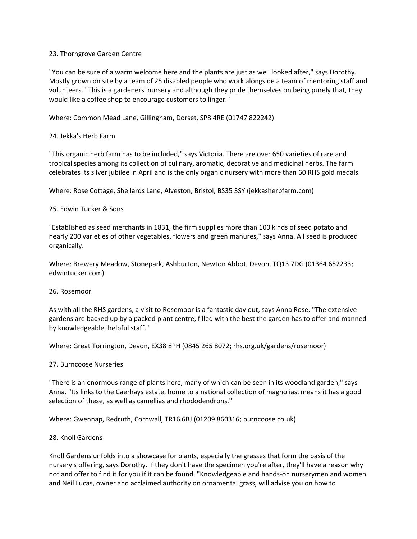#### 23. Thorngrove Garden Centre

"You can be sure of a warm welcome here and the plants are just as well looked after," says Dorothy. Mostly grown on site by a team of 25 disabled people who work alongside a team of mentoring staff and volunteers. "This is a gardeners' nursery and although they pride themselves on being purely that, they would like a coffee shop to encourage customers to linger."

#### Where: Common Mead Lane, Gillingham, Dorset, SP8 4RE (01747 822242)

## 24. Jekka's Herb Farm

"This organic herb farm has to be included," says Victoria. There are over 650 varieties of rare and tropical species among its collection of culinary, aromatic, decorative and medicinal herbs. The farm celebrates its silver jubilee in April and is the only organic nursery with more than 60 RHS gold medals.

Where: Rose Cottage, Shellards Lane, Alveston, Bristol, BS35 3SY (jekkasherbfarm.com)

#### 25. Edwin Tucker & Sons

"Established as seed merchants in 1831, the firm supplies more than 100 kinds of seed potato and nearly 200 varieties of other vegetables, flowers and green manures," says Anna. All seed is produced organically.

Where: Brewery Meadow, Stonepark, Ashburton, Newton Abbot, Devon, TQ13 7DG (01364 652233; edwintucker.com)

#### 26. Rosemoor

As with all the RHS gardens, a visit to Rosemoor is a fantastic day out, says Anna Rose. "The extensive gardens are backed up by a packed plant centre, filled with the best the garden has to offer and manned by knowledgeable, helpful staff."

Where: Great Torrington, Devon, EX38 8PH (0845 265 8072; rhs.org.uk/gardens/rosemoor)

#### 27. Burncoose Nurseries

"There is an enormous range of plants here, many of which can be seen in its woodland garden," says Anna. "Its links to the Caerhays estate, home to a national collection of magnolias, means it has a good selection of these, as well as camellias and rhododendrons."

Where: Gwennap, Redruth, Cornwall, TR16 6BJ (01209 860316; burncoose.co.uk)

#### 28. Knoll Gardens

Knoll Gardens unfolds into a showcase for plants, especially the grasses that form the basis of the nursery's offering, says Dorothy. If they don't have the specimen you're after, they'll have a reason why not and offer to find it for you if it can be found. "Knowledgeable and hands-on nurserymen and women and Neil Lucas, owner and acclaimed authority on ornamental grass, will advise you on how to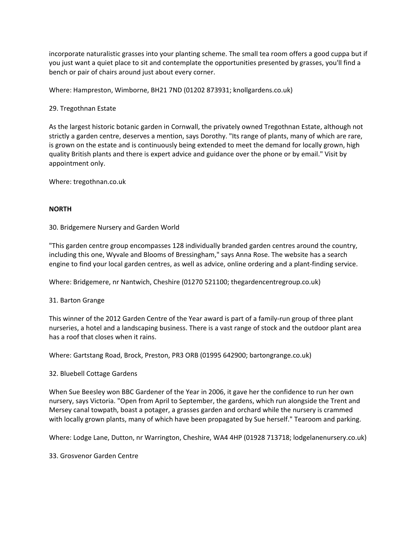incorporate naturalistic grasses into your planting scheme. The small tea room offers a good cuppa but if you just want a quiet place to sit and contemplate the opportunities presented by grasses, you'll find a bench or pair of chairs around just about every corner.

Where: Hampreston, Wimborne, BH21 7ND (01202 873931; knollgardens.co.uk)

# 29. Tregothnan Estate

As the largest historic botanic garden in Cornwall, the privately owned Tregothnan Estate, although not strictly a garden centre, deserves a mention, says Dorothy. "Its range of plants, many of which are rare, is grown on the estate and is continuously being extended to meet the demand for locally grown, high quality British plants and there is expert advice and guidance over the phone or by email." Visit by appointment only.

Where: tregothnan.co.uk

# **NORTH**

30. Bridgemere Nursery and Garden World

"This garden centre group encompasses 128 individually branded garden centres around the country, including this one, Wyvale and Blooms of Bressingham," says Anna Rose. The website has a search engine to find your local garden centres, as well as advice, online ordering and a plant-finding service.

Where: Bridgemere, nr Nantwich, Cheshire (01270 521100; thegardencentregroup.co.uk)

31. Barton Grange

This winner of the 2012 Garden Centre of the Year award is part of a family-run group of three plant nurseries, a hotel and a landscaping business. There is a vast range of stock and the outdoor plant area has a roof that closes when it rains.

Where: Gartstang Road, Brock, Preston, PR3 ORB (01995 642900; bartongrange.co.uk)

## 32. Bluebell Cottage Gardens

When Sue Beesley won BBC Gardener of the Year in 2006, it gave her the confidence to run her own nursery, says Victoria. "Open from April to September, the gardens, which run alongside the Trent and Mersey canal towpath, boast a potager, a grasses garden and orchard while the nursery is crammed with locally grown plants, many of which have been propagated by Sue herself." Tearoom and parking.

Where: Lodge Lane, Dutton, nr Warrington, Cheshire, WA4 4HP (01928 713718; lodgelanenursery.co.uk)

33. Grosvenor Garden Centre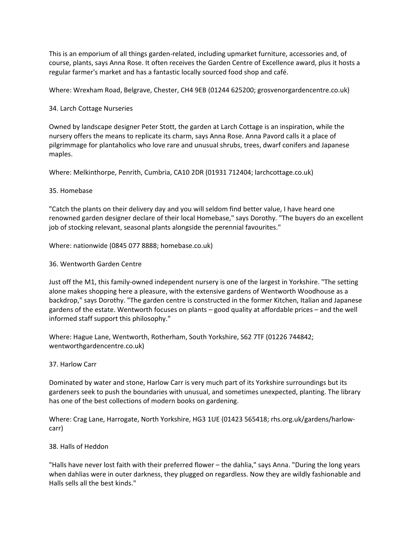This is an emporium of all things garden-related, including upmarket furniture, accessories and, of course, plants, says Anna Rose. It often receives the Garden Centre of Excellence award, plus it hosts a regular farmer's market and has a fantastic locally sourced food shop and café.

Where: Wrexham Road, Belgrave, Chester, CH4 9EB (01244 625200; grosvenorgardencentre.co.uk)

# 34. Larch Cottage Nurseries

Owned by landscape designer Peter Stott, the garden at Larch Cottage is an inspiration, while the nursery offers the means to replicate its charm, says Anna Rose. Anna Pavord calls it a place of pilgrimmage for plantaholics who love rare and unusual shrubs, trees, dwarf conifers and Japanese maples.

Where: Melkinthorpe, Penrith, Cumbria, CA10 2DR (01931 712404; larchcottage.co.uk)

# 35. Homebase

"Catch the plants on their delivery day and you will seldom find better value, I have heard one renowned garden designer declare of their local Homebase," says Dorothy. "The buyers do an excellent job of stocking relevant, seasonal plants alongside the perennial favourites."

Where: nationwide (0845 077 8888; homebase.co.uk)

# 36. Wentworth Garden Centre

Just off the M1, this family-owned independent nursery is one of the largest in Yorkshire. "The setting alone makes shopping here a pleasure, with the extensive gardens of Wentworth Woodhouse as a backdrop," says Dorothy. "The garden centre is constructed in the former Kitchen, Italian and Japanese gardens of the estate. Wentworth focuses on plants – good quality at affordable prices – and the well informed staff support this philosophy."

Where: Hague Lane, Wentworth, Rotherham, South Yorkshire, S62 7TF (01226 744842; wentworthgardencentre.co.uk)

## 37. Harlow Carr

Dominated by water and stone, Harlow Carr is very much part of its Yorkshire surroundings but its gardeners seek to push the boundaries with unusual, and sometimes unexpected, planting. The library has one of the best collections of modern books on gardening.

Where: Crag Lane, Harrogate, North Yorkshire, HG3 1UE (01423 565418; rhs.org.uk/gardens/harlowcarr)

38. Halls of Heddon

"Halls have never lost faith with their preferred flower – the dahlia," says Anna. "During the long years when dahlias were in outer darkness, they plugged on regardless. Now they are wildly fashionable and Halls sells all the best kinds."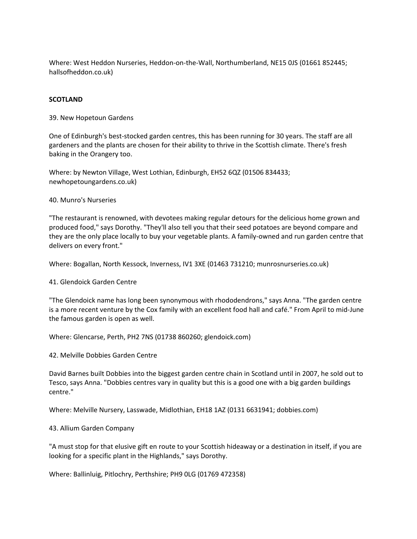Where: West Heddon Nurseries, Heddon-on-the-Wall, Northumberland, NE15 0JS (01661 852445; hallsofheddon.co.uk)

#### **SCOTLAND**

39. New Hopetoun Gardens

One of Edinburgh's best-stocked garden centres, this has been running for 30 years. The staff are all gardeners and the plants are chosen for their ability to thrive in the Scottish climate. There's fresh baking in the Orangery too.

Where: by Newton Village, West Lothian, Edinburgh, EH52 6QZ (01506 834433; newhopetoungardens.co.uk)

#### 40. Munro's Nurseries

"The restaurant is renowned, with devotees making regular detours for the delicious home grown and produced food," says Dorothy. "They'll also tell you that their seed potatoes are beyond compare and they are the only place locally to buy your vegetable plants. A family-owned and run garden centre that delivers on every front."

Where: Bogallan, North Kessock, Inverness, IV1 3XE (01463 731210; munrosnurseries.co.uk)

41. Glendoick Garden Centre

"The Glendoick name has long been synonymous with rhododendrons," says Anna. "The garden centre is a more recent venture by the Cox family with an excellent food hall and café." From April to mid-June the famous garden is open as well.

Where: Glencarse, Perth, PH2 7NS (01738 860260; glendoick.com)

42. Melville Dobbies Garden Centre

David Barnes built Dobbies into the biggest garden centre chain in Scotland until in 2007, he sold out to Tesco, says Anna. "Dobbies centres vary in quality but this is a good one with a big garden buildings centre."

Where: Melville Nursery, Lasswade, Midlothian, EH18 1AZ (0131 6631941; dobbies.com)

#### 43. Allium Garden Company

"A must stop for that elusive gift en route to your Scottish hideaway or a destination in itself, if you are looking for a specific plant in the Highlands," says Dorothy.

Where: Ballinluig, Pitlochry, Perthshire; PH9 0LG (01769 472358)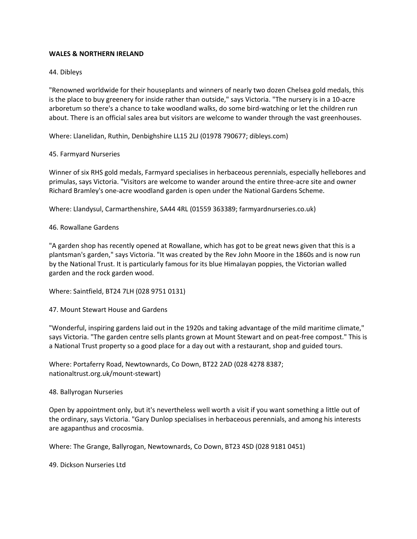#### **WALES & NORTHERN IRELAND**

#### 44. Dibleys

"Renowned worldwide for their houseplants and winners of nearly two dozen Chelsea gold medals, this is the place to buy greenery for inside rather than outside," says Victoria. "The nursery is in a 10-acre arboretum so there's a chance to take woodland walks, do some bird-watching or let the children run about. There is an official sales area but visitors are welcome to wander through the vast greenhouses.

Where: Llanelidan, Ruthin, Denbighshire LL15 2LJ (01978 790677; dibleys.com)

#### 45. Farmyard Nurseries

Winner of six RHS gold medals, Farmyard specialises in herbaceous perennials, especially hellebores and primulas, says Victoria. "Visitors are welcome to wander around the entire three-acre site and owner Richard Bramley's one-acre woodland garden is open under the National Gardens Scheme.

Where: Llandysul, Carmarthenshire, SA44 4RL (01559 363389; farmyardnurseries.co.uk)

46. Rowallane Gardens

"A garden shop has recently opened at Rowallane, which has got to be great news given that this is a plantsman's garden," says Victoria. "It was created by the Rev John Moore in the 1860s and is now run by the National Trust. It is particularly famous for its blue Himalayan poppies, the Victorian walled garden and the rock garden wood.

Where: Saintfield, BT24 7LH (028 9751 0131)

47. Mount Stewart House and Gardens

"Wonderful, inspiring gardens laid out in the 1920s and taking advantage of the mild maritime climate," says Victoria. "The garden centre sells plants grown at Mount Stewart and on peat-free compost." This is a National Trust property so a good place for a day out with a restaurant, shop and guided tours.

Where: Portaferry Road, Newtownards, Co Down, BT22 2AD (028 4278 8387; nationaltrust.org.uk/mount-stewart)

48. Ballyrogan Nurseries

Open by appointment only, but it's nevertheless well worth a visit if you want something a little out of the ordinary, says Victoria. "Gary Dunlop specialises in herbaceous perennials, and among his interests are agapanthus and crocosmia.

Where: The Grange, Ballyrogan, Newtownards, Co Down, BT23 4SD (028 9181 0451)

49. Dickson Nurseries Ltd